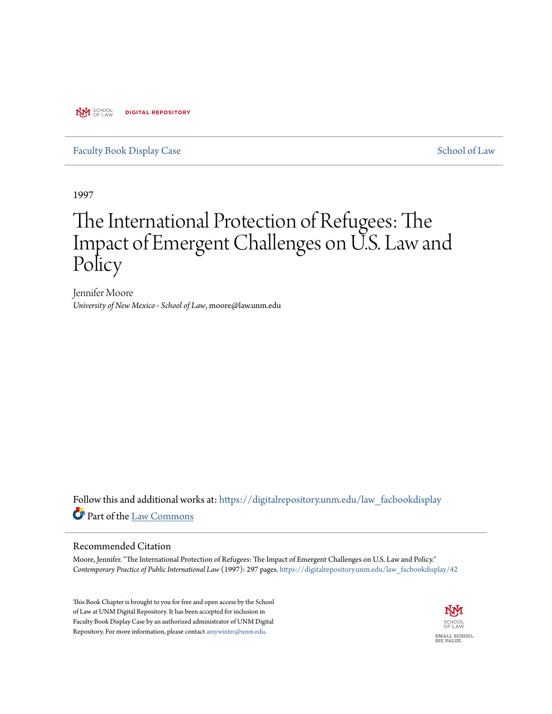**NYI** SCHOOL **DIGITAL REPOSITORY** 

#### [Faculty Book Display Case](https://digitalrepository.unm.edu/law_facbookdisplay?utm_source=digitalrepository.unm.edu%2Flaw_facbookdisplay%2F42&utm_medium=PDF&utm_campaign=PDFCoverPages) [School of Law](https://digitalrepository.unm.edu/law?utm_source=digitalrepository.unm.edu%2Flaw_facbookdisplay%2F42&utm_medium=PDF&utm_campaign=PDFCoverPages)

1997

# The International Protection of Refugees: The Impact of Emergent Challenges on U.S. Law and Policy

Jennifer Moore *University of New Mexico - School of Law*, moore@law.unm.edu

Follow this and additional works at: [https://digitalrepository.unm.edu/law\\_facbookdisplay](https://digitalrepository.unm.edu/law_facbookdisplay?utm_source=digitalrepository.unm.edu%2Flaw_facbookdisplay%2F42&utm_medium=PDF&utm_campaign=PDFCoverPages) Part of the [Law Commons](http://network.bepress.com/hgg/discipline/578?utm_source=digitalrepository.unm.edu%2Flaw_facbookdisplay%2F42&utm_medium=PDF&utm_campaign=PDFCoverPages)

#### Recommended Citation

Moore, Jennifer. "The International Protection of Refugees: The Impact of Emergent Challenges on U.S. Law and Policy." *Contemporary Practice of Public International Law* (1997): 297 pages. [https://digitalrepository.unm.edu/law\\_facbookdisplay/42](https://digitalrepository.unm.edu/law_facbookdisplay/42?utm_source=digitalrepository.unm.edu%2Flaw_facbookdisplay%2F42&utm_medium=PDF&utm_campaign=PDFCoverPages)

This Book Chapter is brought to you for free and open access by the School of Law at UNM Digital Repository. It has been accepted for inclusion in Faculty Book Display Case by an authorized administrator of UNM Digital Repository. For more information, please contact [amywinter@unm.edu](mailto:amywinter@unm.edu).

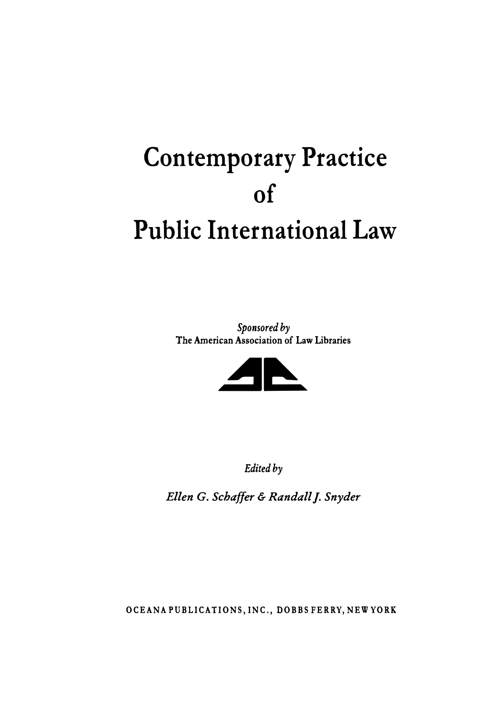# **Contemporary Practice of Public International Law**

*Sponsored by*  **The American Association of Law Libraries** 



*Edited by* 

*Ellen* G. *Schaffer & Randall]. Snyder* 

**OCEANA PUBLICATIONS, INC., DOBBS FERRY, NEW YORK**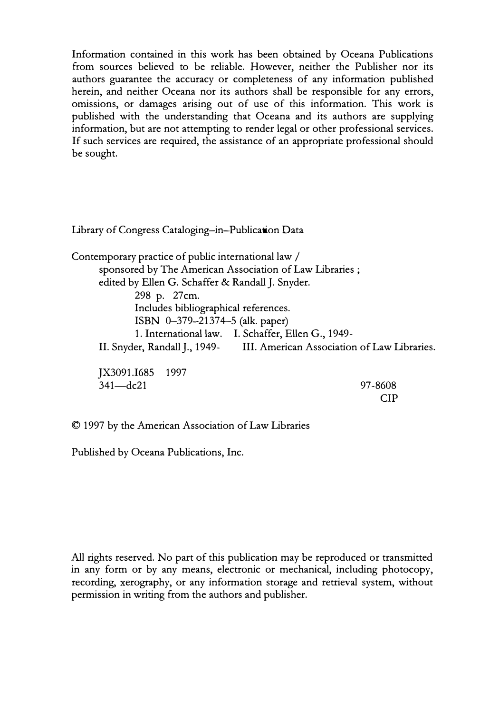Information contained in this work has been obtained by Oceana Publications from sources believed to be reliable. However, neither the Publisher nor its authors guarantee the accuracy or completeness of any information published herein, and neither Oceana nor its authors shall be responsible for any errors, omissions, or damages arising out of use of this information. This work is published with the understanding that Oceana and its authors are supplying information, but are not attempting to render legal or other professional services. If such services are required, the assistance of an appropriate professional should be sought.

Library of Congress Cataloging-in-Publication Data

Contemporary practice of public international law / sponsored by The American Association of Law Libraries ; edited by Ellen G. Schaffer & Randall J. Snyder. 298 p. 27cm. Includes bibliographical references. ISBN 0-379-21374-5 (alk. paper) 1. International law. I. Schaffer, Ellen G., 1949- II. Snyder, Randall J., 1949- III. American Association of Law Libraries.

JX3091.I685 1997  $341 - dc21$ 

97-8608 CIP

© 1997 by the American Association of Law Libraries

Published by Oceana Publications, Inc.

All rights reserved. No part of this publication may be reproduced or transmitted in any form or by any means, electronic or mechanical, including photocopy, recording, xerography, or any information storage and retrieval system, without permission in writing from the authors and publisher.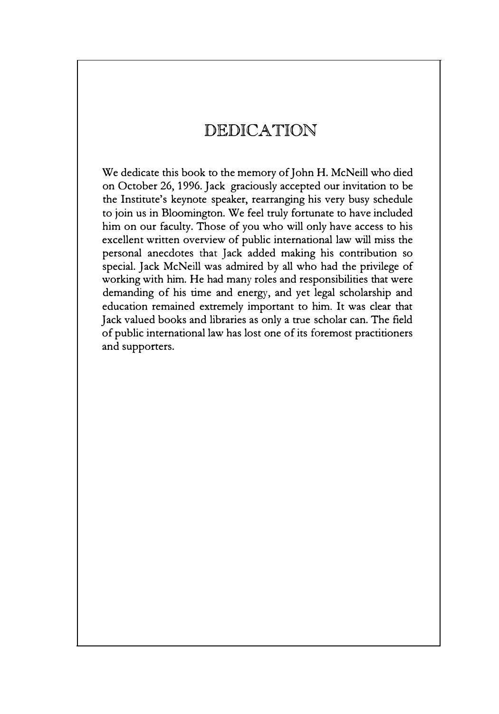## DEDICATION

We dedicate this book to the memory of John H. McNeill who died on October 26, 1996. Jack graciously accepted our invitation to be the Institute's keynote speaker, rearranging his very busy schedule to join us in Bloomington. We feel truly fortunate to have included him on our faculty. Those of you who will only have access to his excellent written overview of public international law will miss the personal anecdotes that Jack added making his contribution so special. Jack McNeill was admired by all who had the privilege of working with him. He had many roles and responsibilities that were demanding of his time and energy, and yet legal scholarship and education remained extremely important to him. It was clear that Jack valued books and libraries as only a true scholar can. The field of public international law has lost one of its foremost practitioners and supporters.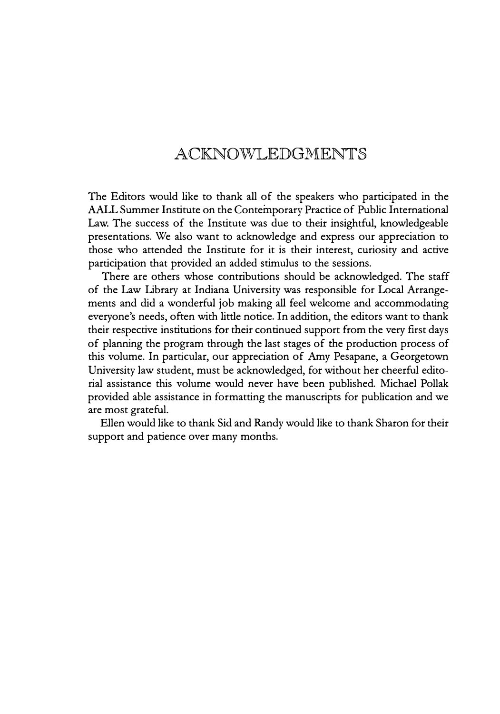### ACKNOWJLEDGMENTS

The Editors would like to thank all of the speakers who participated in the AALL Summer Institute on the Contemporary Practice of Public International Law. The success of the Institute was due to their insightful, knowledgeable presentations. We also want to acknowledge and express our appreciation to those who attended the Institute for it is their interest, curiosity and active participation that provided an added stimulus to the sessions.

There are others whose contributions should be acknowledged. The staff of the Law Library at Indiana University was responsible for Local Arrangements and did a wonderful job making all feel welcome and accommodating everyone's needs, often with little notice. In addition, the editors want to thank their respective institutions for their continued support from the very first days of planning the program through the last stages of the production process of this volume. In particular, our appreciation of Amy Pesapane, a Georgetown University law student, must be acknowledged, for without her cheerful editorial assistance this volume would never have been published. Michael Pollak provided able assistance in formatting the manuscripts for publication and we are most grateful.

Ellen would like to thank Sid and Randy would like to thank Sharon for their support and patience over many months.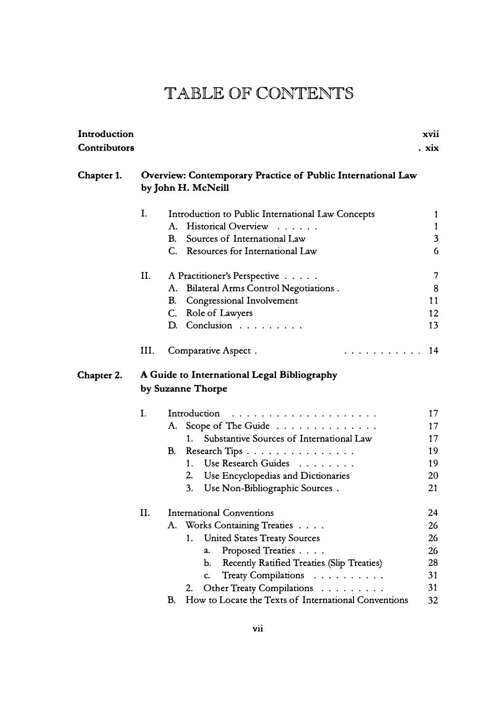| Introduction        |      |                                                                                                                                                                                                                                                                                                                               | xvii                                         |
|---------------------|------|-------------------------------------------------------------------------------------------------------------------------------------------------------------------------------------------------------------------------------------------------------------------------------------------------------------------------------|----------------------------------------------|
| <b>Contributors</b> |      |                                                                                                                                                                                                                                                                                                                               | . xix                                        |
| Chapter 1.          |      | Overview: Contemporary Practice of Public International Law<br>by John H. McNeill                                                                                                                                                                                                                                             |                                              |
|                     | I.   | Introduction to Public International Law Concepts<br><b>Historical Overview</b><br>А.<br>.                                                                                                                                                                                                                                    | 1<br>1                                       |
|                     |      | Sources of International Law<br>B.<br>C. Resources for International Law                                                                                                                                                                                                                                                      | $\mathfrak{Z}$<br>6                          |
|                     | II.  | A Practitioner's Perspective<br>A. Bilateral Arms Control Negotiations.<br>B.<br>Congressional Involvement                                                                                                                                                                                                                    | 7<br>8<br>11                                 |
|                     |      | C. Role of Lawyers<br>D. Conclusion                                                                                                                                                                                                                                                                                           | 12<br>13                                     |
|                     | III. | Comparative Aspect.<br>.                                                                                                                                                                                                                                                                                                      | 14                                           |
| Chapter 2.          |      | A Guide to International Legal Bibliography<br>by Suzanne Thorpe                                                                                                                                                                                                                                                              |                                              |
|                     | I.   | Introduction<br>A. Scope of The Guide<br>Substantive Sources of International Law<br>1.<br>Research Tips<br>В.<br>1 <sup>1</sup><br>Use Research Guides<br>2. Use Encyclopedias and Dictionaries<br>3.<br>Use Non-Bibliographic Sources.                                                                                      | 17<br>17<br>17<br>19<br>19<br>20<br>21       |
|                     | II.  | <b>International Conventions</b><br>Works Containing Treaties<br>A.<br><b>United States Treaty Sources</b><br>1.<br>Proposed Treaties<br>a.<br>Recently Ratified Treaties (Slip Treaties)<br>b.<br>Treaty Compilations<br>C.<br>Other Treaty Compilations<br>2.<br>How to Locate the Texts of International Conventions<br>В. | 24<br>26<br>26<br>26<br>28<br>31<br>31<br>32 |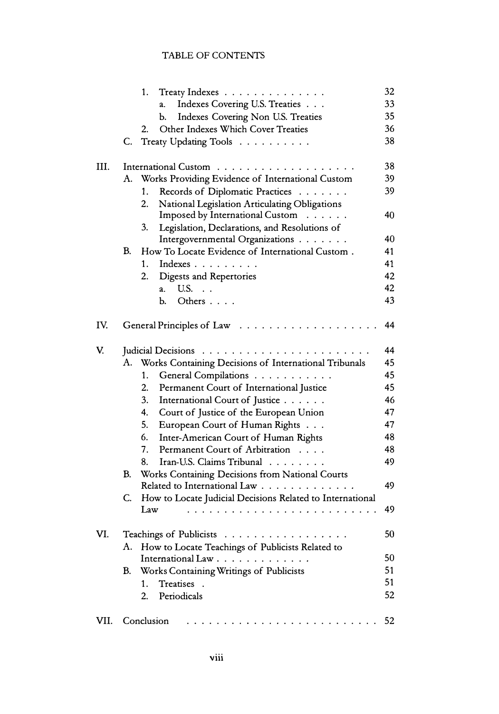|      |    | Treaty Indexes<br>1.                                      | 32 |
|------|----|-----------------------------------------------------------|----|
|      |    | Indexes Covering U.S. Treaties<br>a.                      | 33 |
|      |    | Indexes Covering Non U.S. Treaties<br>Ь.                  | 35 |
|      |    | Other Indexes Which Cover Treaties<br>2.                  | 36 |
|      | C. | Treaty Updating Tools                                     | 38 |
| III. |    | International Custom                                      | 38 |
|      | A. | Works Providing Evidence of International Custom          | 39 |
|      |    | Records of Diplomatic Practices<br>1.                     | 39 |
|      |    | 2.<br>National Legislation Articulating Obligations       |    |
|      |    | Imposed by International Custom                           | 40 |
|      |    | 3.<br>Legislation, Declarations, and Resolutions of       |    |
|      |    | Intergovernmental Organizations                           | 40 |
|      | B. | How To Locate Evidence of International Custom.           | 41 |
|      |    | Indexes<br>1.                                             | 41 |
|      |    | 2.<br>Digests and Repertories                             | 42 |
|      |    | a. U.S.                                                   | 42 |
|      |    | Others<br>Ь.                                              | 43 |
| IV.  |    | General Principles of Law                                 | 44 |
| V.   |    |                                                           | 44 |
|      | A. | Works Containing Decisions of International Tribunals     | 45 |
|      |    | General Compilations<br>1.                                | 45 |
|      |    | 2.<br>Permanent Court of International Justice            | 45 |
|      |    | 3.<br>International Court of Justice                      | 46 |
|      |    | 4.<br>Court of Justice of the European Union              | 47 |
|      |    | 5.<br>European Court of Human Rights                      | 47 |
|      |    | 6.<br>Inter-American Court of Human Rights                | 48 |
|      |    | 7.<br>Permanent Court of Arbitration                      | 48 |
|      |    | Iran-U.S. Claims Tribunal<br>8.                           | 49 |
|      | B. | Works Containing Decisions from National Courts           |    |
|      |    | Related to International Law                              | 49 |
|      | C. | How to Locate Judicial Decisions Related to International |    |
|      |    | Law                                                       | 49 |
| VI.  |    | Teachings of Publicists                                   | 50 |
|      | A. | How to Locate Teachings of Publicists Related to          |    |
|      |    | International Law                                         | 50 |
|      | B. | Works Containing Writings of Publicists                   | 51 |
|      |    | Treatises .<br>1.                                         | 51 |
|      |    | Periodicals<br>2.                                         | 52 |
| VII. |    | Conclusion                                                | 52 |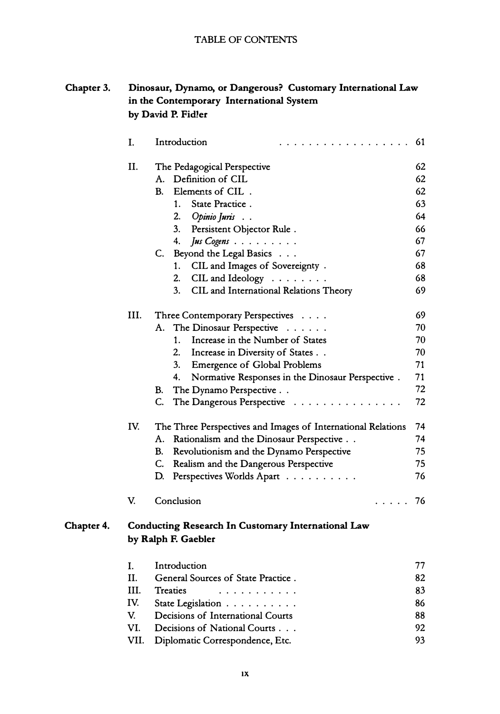#### **Chapter 3. Dinosaur, Dynamo, or Dangerous? Customary International Law in the Contemporary International System** by David P. Fidler

|            | I.                             | Introduction<br>.                                                                                                                                                                                                                                                                                                                                                               | 61                                                             |
|------------|--------------------------------|---------------------------------------------------------------------------------------------------------------------------------------------------------------------------------------------------------------------------------------------------------------------------------------------------------------------------------------------------------------------------------|----------------------------------------------------------------|
|            | II.                            | The Pedagogical Perspective<br>A. Definition of CIL<br>B.<br>Elements of CIL.<br>State Practice.<br>1.<br>2.<br>Opinio Juris.<br>3.<br>Persistent Objector Rule.<br>4.<br>$J$ us Cogens $\ldots \ldots \ldots$<br>Beyond the Legal Basics<br>C.<br>CIL and Images of Sovereignty.<br>1.<br>2.<br>CIL and Ideology $\dots \dots$<br>3.<br>CIL and International Relations Theory | 62<br>62<br>62<br>63<br>64<br>66<br>67<br>67<br>68<br>68<br>69 |
|            | III.                           | Three Contemporary Perspectives<br>The Dinosaur Perspective<br>A.<br>Increase in the Number of States<br>$1_{-}$<br>2.<br>Increase in Diversity of States<br>3.<br>Emergence of Global Problems<br>4.<br>Normative Responses in the Dinosaur Perspective.<br>The Dynamo Perspective<br>В.<br>C.<br>The Dangerous Perspective                                                    | 69<br>70<br>70<br>70<br>71<br>71<br>72<br>72                   |
|            | IV.<br>V.                      | The Three Perspectives and Images of International Relations<br>A.<br>Rationalism and the Dinosaur Perspective<br>В.<br>Revolutionism and the Dynamo Perspective<br>C.<br>Realism and the Dangerous Perspective<br>Perspectives Worlds Apart<br>D.<br>Conclusion<br>$\cdots$                                                                                                    | 74<br>74<br>75<br>75<br>76<br>76                               |
| Chapter 4. |                                | <b>Conducting Research In Customary International Law</b><br>by Ralph F. Gaebler                                                                                                                                                                                                                                                                                                |                                                                |
|            | I.<br>II.<br>III.<br>IV.<br>V. | Introduction<br>General Sources of State Practice.<br>Treaties<br>.<br>State Legislation<br>Decisions of International Courts                                                                                                                                                                                                                                                   | 77<br>82<br>83<br>86<br>88                                     |

**VI. Decisions of National Courts . . . VII. Diplomatic Correspondence, Etc.** 92 93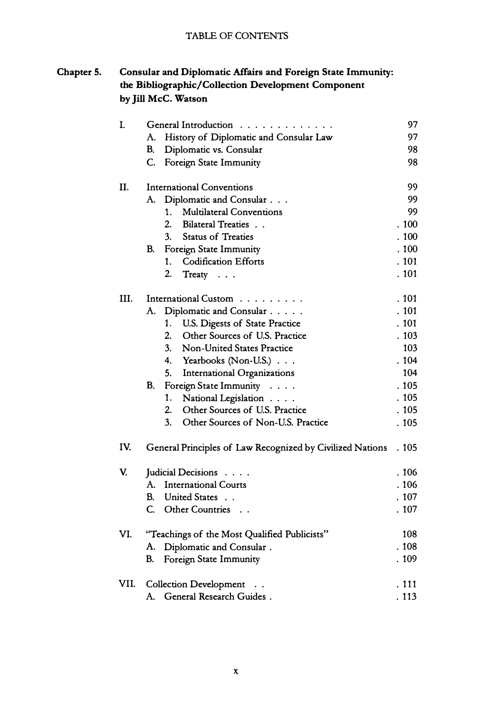#### **Chapter 5. Consular and Diplomatic Affairs and Foreign State Immunity: the Bibliographic/Collection Development Component by Jill McC. Watson**

| I.   | General Introduction                                      | 97    |
|------|-----------------------------------------------------------|-------|
|      | History of Diplomatic and Consular Law<br>А.              | 97    |
|      | Diplomatic vs. Consular<br>В.                             | 98    |
|      | Foreign State Immunity<br>C.                              | 98    |
| П.   | <b>International Conventions</b>                          | 99    |
|      | Diplomatic and Consular<br>A.                             | 99    |
|      | $1_{-}$<br><b>Multilateral Conventions</b>                | 99    |
|      | $\overline{2}$ .<br>Bilateral Treaties                    | .100  |
|      | 3.<br><b>Status of Treaties</b>                           | .100  |
|      | Foreign State Immunity<br>В.                              | . 100 |
|      | <b>Codification Efforts</b><br>1.                         | . 101 |
|      | 2.<br>Treaty                                              | . 101 |
| III. | International Custom                                      | . 101 |
|      | Diplomatic and Consular<br>A.                             | . 101 |
|      | 1.<br>U.S. Digests of State Practice                      | .101  |
|      | $\overline{2}$ .<br>Other Sources of U.S. Practice        | .103  |
|      | 3.<br>Non-United States Practice                          | 103   |
|      | 4. Yearbooks (Non-U.S.)                                   | . 104 |
|      | 5.<br>International Organizations                         | 104   |
|      | Foreign State Immunity<br>B.                              | . 105 |
|      | National Legislation<br>1.                                | . 105 |
|      | Other Sources of U.S. Practice<br>2.                      | . 105 |
|      | 3 <sub>1</sub><br>Other Sources of Non-U.S. Practice      | . 105 |
| IV.  | General Principles of Law Recognized by Civilized Nations | . 105 |
| V.   | Judicial Decisions                                        | . 106 |
|      | A. International Courts                                   | .106  |
|      | United States<br>B.                                       | . 107 |
|      | Other Countries<br>C.                                     | . 107 |
| VI.  | "Teachings of the Most Qualified Publicists"              | 108   |
|      | Diplomatic and Consular.<br>A.                            | . 108 |
|      | Foreign State Immunity<br>В.                              | . 109 |
| VII. | <b>Collection Development</b>                             | . 111 |
|      | A. General Research Guides.                               | . 113 |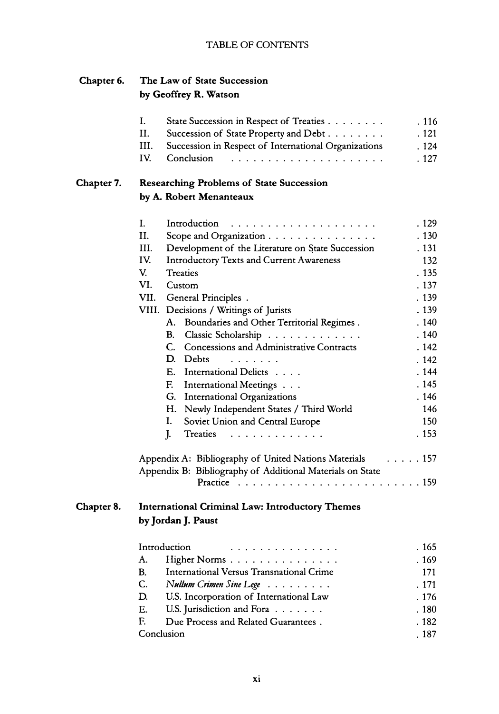#### **Chapter 6. The Law of State Succession by Geoffrey R. Watson**

|            | I.                                    | State Succession in Respect of Treaties                     | . 116        |
|------------|---------------------------------------|-------------------------------------------------------------|--------------|
|            | II.                                   | Succession of State Property and Debt                       | .121         |
|            | III.                                  | Succession in Respect of International Organizations        | . 124        |
|            | IV.<br>Conclusion                     |                                                             | . 127        |
| Chapter 7. |                                       | <b>Researching Problems of State Succession</b>             |              |
|            | by A. Robert Menanteaux               |                                                             |              |
|            | I.<br>Introduction                    |                                                             | . 129        |
|            | II.                                   | Scope and Organization $\ldots \ldots \ldots \ldots \ldots$ | . 130        |
|            | III.                                  | Development of the Literature on State Succession           | . 131        |
|            | IV.                                   | <b>Introductory Texts and Current Awareness</b>             | 132          |
|            | V.<br><b>Treaties</b>                 |                                                             | . 135        |
|            | VI.<br>Custom                         |                                                             | . 137        |
|            | VII.<br>General Principles.           |                                                             | . 139        |
|            | VIII. Decisions / Writings of Jurists |                                                             | . 139        |
|            | A.                                    | Boundaries and Other Territorial Regimes.                   | . 140        |
|            | В.                                    | Classic Scholarship                                         | . 140        |
|            |                                       | C. Concessions and Administrative Contracts                 | . 142        |
|            | D. Debts                              | $\sim$ $\sim$ $\sim$ $\sim$ $\sim$ $\sim$ $\sim$ $\sim$     | .142         |
|            | Е.                                    | International Delicts                                       | . 144        |
|            | F.                                    | International Meetings                                      | . 145        |
|            |                                       | G. International Organizations                              | . 146        |
|            |                                       | H. Newly Independent States / Third World                   | 146          |
|            | I.                                    | Soviet Union and Central Europe                             | 150          |
|            | J.                                    | Treaties                                                    | . 153        |
|            |                                       | Appendix A: Bibliography of United Nations Materials        | $\ldots$ 157 |
|            |                                       | Appendix B: Bibliography of Additional Materials on State   |              |
|            |                                       |                                                             |              |
| Chapter 8. |                                       | <b>International Criminal Law: Introductory Themes</b>      |              |
|            | by Jordan J. Paust                    |                                                             |              |
|            | Introduction                          | . . <i>.</i>                                                | . 165        |
|            | A.                                    | Higher Norms                                                | . 169        |
|            | B.                                    | International Versus Transnational Crime                    | 171          |
|            | C.                                    | Nullum Crimen Sine Lege                                     | . 171        |
|            | D.                                    | U.S. Incorporation of International Law                     | . 176        |
|            | Е.                                    | U.S. Jurisdiction and Fora                                  | . 180        |
|            | F.                                    | Due Process and Related Guarantees.                         | .182         |

**xi** 

. 187

Conclusion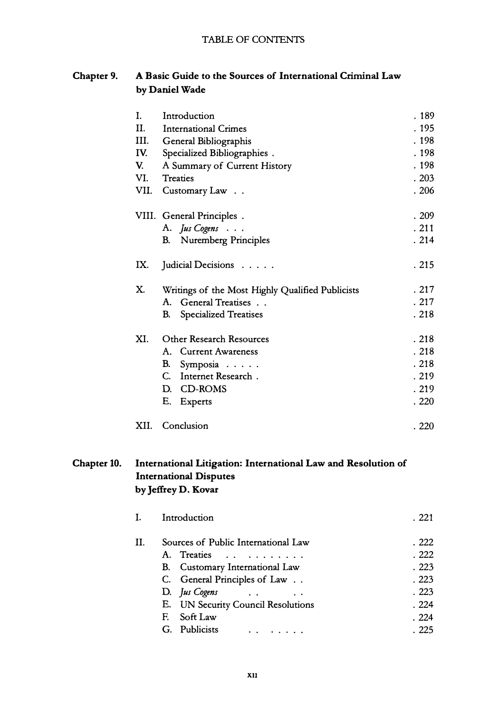#### **Chapter 9. A Basic Guide to the Sources of International Criminal Law by Daniel Wade**

|             | I.<br>II.<br>III.<br>IV.<br>V.<br>VI.<br>VII. | Introduction<br>International Crimes<br>General Bibliographis<br>Specialized Bibliographies .<br>A Summary of Current History<br>Treaties<br>Customary Law                                                                                                                                                                                                           | . 189<br>. 195<br>. 198<br>. 198<br>. 198<br>.203<br>.206 |
|-------------|-----------------------------------------------|----------------------------------------------------------------------------------------------------------------------------------------------------------------------------------------------------------------------------------------------------------------------------------------------------------------------------------------------------------------------|-----------------------------------------------------------|
|             |                                               | VIII. General Principles.<br>A. Jus Cogens<br>Nuremberg Principles<br>B.                                                                                                                                                                                                                                                                                             | .209<br>.211<br>.214                                      |
|             | IX.                                           | Judicial Decisions                                                                                                                                                                                                                                                                                                                                                   | . 215                                                     |
|             | X.                                            | Writings of the Most Highly Qualified Publicists<br>A. General Treatises<br>В.<br>Specialized Treatises                                                                                                                                                                                                                                                              | .217<br>.217<br>. 218                                     |
|             | XI.                                           | <b>Other Research Resources</b><br>A. Current Awareness<br>В.<br>Symposia<br>C.<br>Internet Research.<br>D. CD-ROMS<br>E. Experts                                                                                                                                                                                                                                    | .218<br>. 218<br>.218<br>. 219<br>. 219<br>.220           |
|             | XII.                                          | Conclusion                                                                                                                                                                                                                                                                                                                                                           | .220                                                      |
| Chapter 10. |                                               | International Litigation: International Law and Resolution of<br><b>International Disputes</b><br>by Jeffrey D. Kovar                                                                                                                                                                                                                                                |                                                           |
|             | I.                                            | Introduction                                                                                                                                                                                                                                                                                                                                                         | . 221                                                     |
|             | II.                                           | Sources of Public International Law<br>A.<br>Treaties<br>$\cdot$ $\cdot$<br>$\mathbf{v} = \mathbf{v} + \mathbf{v} + \mathbf{v} + \mathbf{v} + \mathbf{v}$<br>B. Customary International Law<br>C.<br>General Principles of Law<br>D.<br>Jus Cogens<br>$\ddot{\phantom{0}}$<br>$\ddot{\phantom{0}}$<br>Е.<br><b>UN Security Council Resolutions</b><br>E.<br>Soft Law | . 222<br>. 222<br>.223<br>.223<br>.223<br>.224<br>. 224   |

**G. Publicists** . . . . . . . . 224 . 225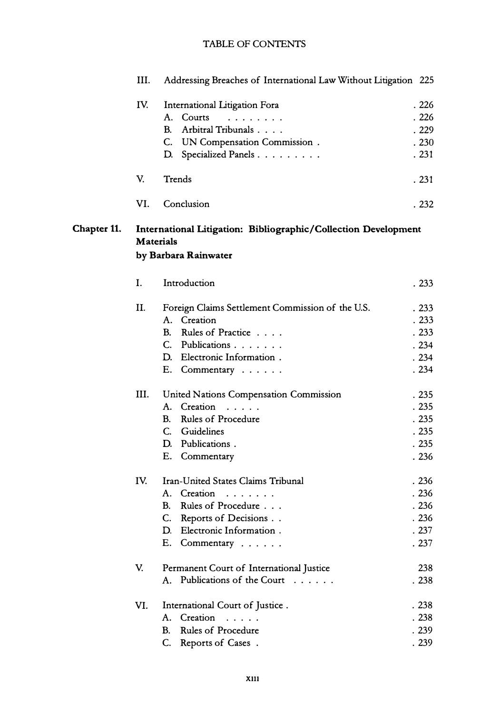|             | Ш.   | Addressing Breaches of International Law Without Litigation 225                                            |       |
|-------------|------|------------------------------------------------------------------------------------------------------------|-------|
|             | IV.  | International Litigation Fora                                                                              | .226  |
|             |      | A. Courts                                                                                                  | .226  |
|             |      | Arbitral Tribunals<br><b>B.</b>                                                                            | .229  |
|             |      | C. UN Compensation Commission.                                                                             | .230  |
|             |      | Specialized Panels<br>D.                                                                                   | .231  |
|             | V.   | Trends                                                                                                     | . 231 |
|             | VI.  | Conclusion                                                                                                 | . 232 |
| Chapter 11. |      | International Litigation: Bibliographic/Collection Development<br><b>Materials</b><br>by Barbara Rainwater |       |
|             | Ι.   | Introduction                                                                                               | . 233 |
|             | II.  | Foreign Claims Settlement Commission of the U.S.                                                           | .233  |
|             |      | A. Creation                                                                                                | .233  |
|             |      | B. Rules of Practice                                                                                       | .233  |
|             |      | C. Publications                                                                                            | .234  |
|             |      | D. Electronic Information.                                                                                 | .234  |
|             |      | E. Commentary                                                                                              | .234  |
|             | III. | United Nations Compensation Commission                                                                     | .235  |
|             |      | A. Creation                                                                                                | .235  |
|             |      | Rules of Procedure<br>B.                                                                                   | .235  |
|             |      | C. Guidelines                                                                                              | .235  |
|             |      | D. Publications.                                                                                           | .235  |
|             |      | E. Commentary                                                                                              | .236  |
|             | IV.  | Iran-United States Claims Tribunal                                                                         | .236  |
|             |      | A. Creation                                                                                                | .236  |
|             |      | Rules of Procedure<br><b>B.</b>                                                                            | .236  |
|             |      | C. Reports of Decisions                                                                                    | .236  |
|             |      | D. Electronic Information.                                                                                 | . 237 |
|             |      | E. Commentary                                                                                              | .237  |
|             | V.   | Permanent Court of International Justice                                                                   | 238   |
|             |      | A. Publications of the Court                                                                               | .238  |
|             | VI.  | International Court of Justice.                                                                            | . 238 |
|             |      | A. Creation<br>$\sim$ $\sim$ $\sim$ $\sim$ $\sim$                                                          | . 238 |
|             |      | Rules of Procedure<br><b>B.</b>                                                                            | . 239 |
|             |      | C. Reports of Cases.                                                                                       | . 239 |
|             |      |                                                                                                            |       |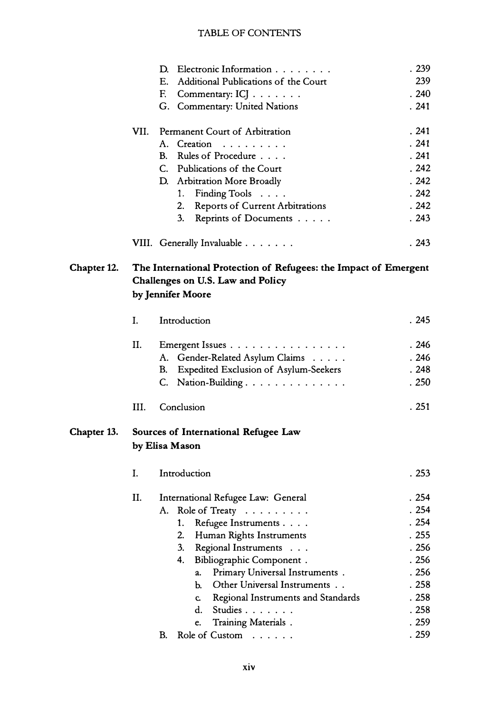|             |      | Electronic Information<br>D.                                     | . 239 |
|-------------|------|------------------------------------------------------------------|-------|
|             |      | Е.<br>Additional Publications of the Court                       | 239   |
|             |      | F.<br>Commentary: ICJ                                            | .240  |
|             |      | G. Commentary: United Nations                                    | . 241 |
|             | VII. | Permanent Court of Arbitration                                   | . 241 |
|             |      | A. Creation                                                      | .241  |
|             |      | B. Rules of Procedure                                            | .241  |
|             |      | C. Publications of the Court                                     | .242  |
|             |      | D. Arbitration More Broadly                                      | .242  |
|             |      | Finding Tools<br>1.                                              | .242  |
|             |      | 2.                                                               | .242  |
|             |      | <b>Reports of Current Arbitrations</b><br>3.                     | .243  |
|             |      | Reprints of Documents                                            |       |
|             |      | VIII. Generally Invaluable                                       | .243  |
| Chapter 12. |      | The International Protection of Refugees: the Impact of Emergent |       |
|             |      | Challenges on U.S. Law and Policy                                |       |
|             |      | by Jennifer Moore                                                |       |
|             | I.   | Introduction                                                     | .245  |
|             |      |                                                                  |       |
|             | II.  | Emergent Issues                                                  | . 246 |
|             |      | A. Gender-Related Asylum Claims                                  | .246  |
|             |      | <b>Expedited Exclusion of Asylum-Seekers</b><br>В.               | .248  |
|             |      | C. Nation-Building.                                              | .250  |
|             | III. | Conclusion                                                       | .251  |
| Chapter 13. |      | Sources of International Refugee Law                             |       |
|             |      | by Elisa Mason                                                   |       |
|             | L.   | Introduction                                                     | . 253 |
|             |      |                                                                  | . 254 |
|             | П.   | International Refugee Law: General                               |       |
|             |      | A.<br>Role of Treaty                                             | . 254 |
|             |      | 1.<br>Refugee Instruments                                        | . 254 |
|             |      | 2.<br>Human Rights Instruments                                   | .255  |
|             |      | 3 <sub>1</sub><br>Regional Instruments                           | .256  |
|             |      | 4.<br>Bibliographic Component.                                   | .256  |
|             |      | Primary Universal Instruments.<br>a.                             | . 256 |
|             |      | Other Universal Instruments<br>Ь.                                | .258  |
|             |      | Regional Instruments and Standards<br>C.                         | . 258 |
|             |      | Studies<br>d.                                                    | . 258 |
|             |      | Training Materials.<br>e.                                        | . 259 |
|             |      | B.<br>Role of Custom                                             | . 259 |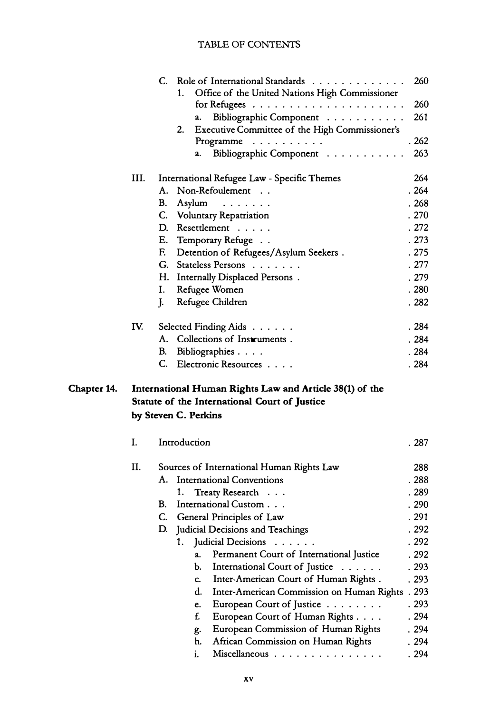|             |      | Role of International Standards<br>C.                                 | 260   |
|-------------|------|-----------------------------------------------------------------------|-------|
|             |      | Office of the United Nations High Commissioner<br>1.                  |       |
|             |      | for Refugees $\ldots \ldots \ldots \ldots \ldots \ldots \ldots$       | 260   |
|             |      | Bibliographic Component<br>a.                                         | 261   |
|             |      | Executive Committee of the High Commissioner's<br>2.                  |       |
|             |      | Programme $\ldots \ldots \ldots$                                      | .262  |
|             |      | Bibliographic Component<br>a.                                         | 263   |
|             | III. | International Refugee Law - Specific Themes                           | 264   |
|             |      | Non-Refoulement<br>А.                                                 | .264  |
|             |      | В.<br>Asylum                                                          | . 268 |
|             |      | C. Voluntary Repatriation                                             | .270  |
|             |      | Resettlement<br>D.                                                    | . 272 |
|             |      | E. Temporary Refuge                                                   | . 273 |
|             |      | Detention of Refugees/Asylum Seekers.<br>F.                           | .275  |
|             |      | G. Stateless Persons                                                  | .277  |
|             |      | H. Internally Displaced Persons.                                      | . 279 |
|             |      | Ι.<br>Refugee Women                                                   | .280  |
|             |      | J.<br>Refugee Children                                                | .282  |
|             | IV.  | Selected Finding Aids                                                 | .284  |
|             |      | A. Collections of Instruments.                                        | .284  |
|             |      | Bibliographies<br>B.                                                  | . 284 |
|             |      | C.<br>Electronic Resources                                            | . 284 |
|             |      |                                                                       |       |
| Chapter 14. |      | International Human Rights Law and Article 38(1) of the               |       |
|             |      | Statute of the International Court of Justice<br>by Steven C. Perkins |       |
|             |      |                                                                       |       |
|             | I.   | Introduction                                                          | . 287 |
|             | Н.   | Sources of International Human Rights Law                             | 288   |
|             |      | A. International Conventions                                          | . 288 |
|             |      | Treaty Research<br>1.                                                 | . 289 |
|             |      | International Custom<br><b>B.</b>                                     | . 290 |
|             |      | General Principles of Law<br>C.                                       | . 291 |
|             |      | Judicial Decisions and Teachings<br>D.                                | . 292 |
|             |      | Judicial Decisions<br>1.<br>$\cdot$ $\cdot$ $\cdot$ $\cdot$ $\cdot$   | . 292 |
|             |      | Permanent Court of International Justice<br>a.                        | . 292 |
|             |      | b.<br>International Court of Justice                                  | . 293 |
|             |      | Inter-American Court of Human Rights.<br>c.                           | . 293 |
|             |      | d.<br>Inter-American Commission on Human Rights                       | .293  |
|             |      | European Court of Justice<br>e.                                       | . 293 |
|             |      | f.<br>European Court of Human Rights                                  | . 294 |
|             |      | European Commission of Human Rights<br>g.                             | .294  |
|             |      | African Commission on Human Rights<br>h.                              | . 294 |
|             |      | i.<br>Miscellaneous                                                   | . 294 |
|             |      |                                                                       |       |